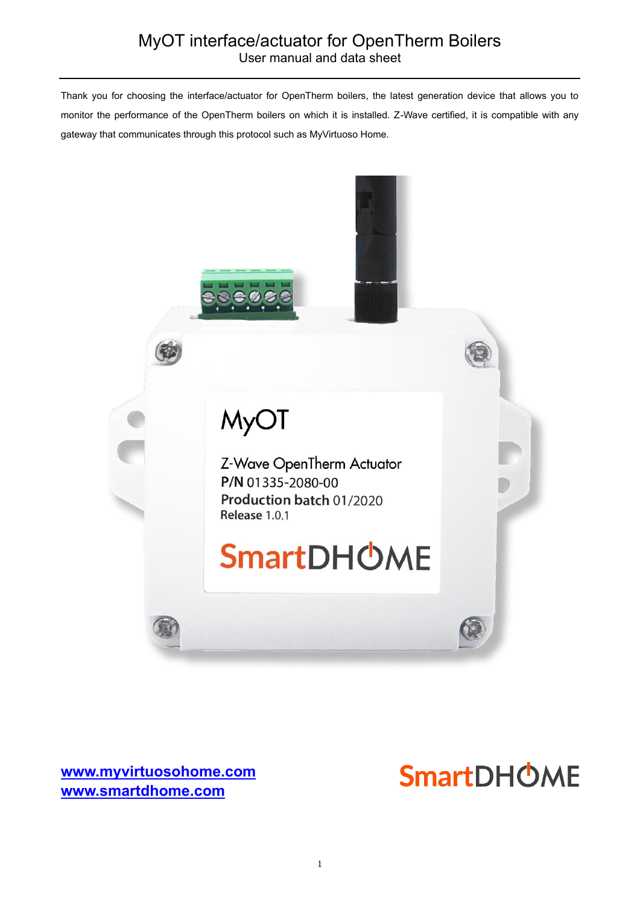Thank you for choosing the interface/actuator for OpenTherm boilers, the latest generation device that allows you to monitor the performance of the OpenTherm boilers on which it is installed. Z-Wave certified, it is compatible with any gateway that communicates through this protocol such as MyVirtuoso Home.



**[www.myvirtuosohome.com](http://www.myvirtuosohome.com/) [www.smartdhome.com](http://www.smartdhome.com/)**

# **SmartDHOME**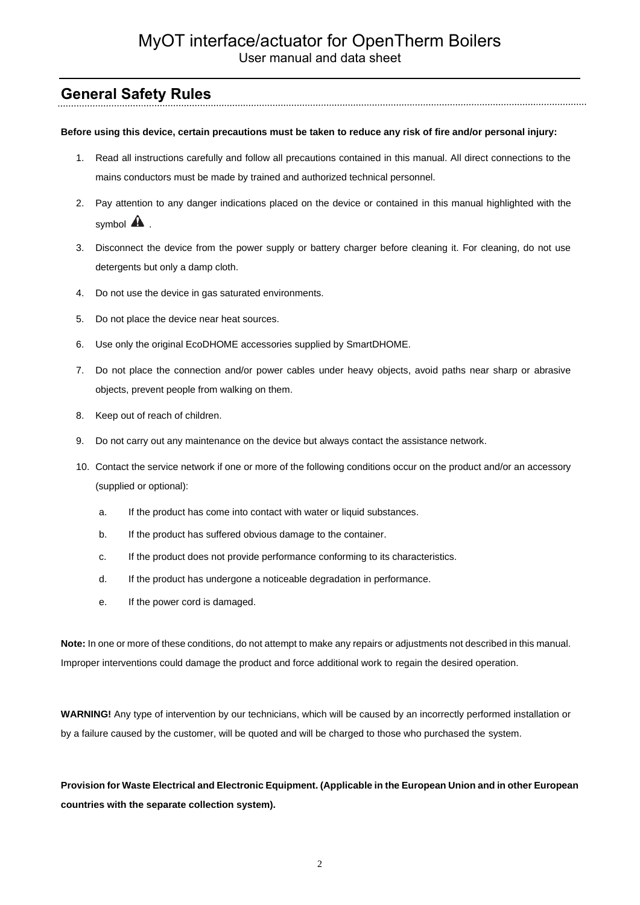### **General Safety Rules**

#### **Before using this device, certain precautions must be taken to reduce any risk of fire and/or personal injury:**

1. Read all instructions carefully and follow all precautions contained in this manual. All direct connections to the mains conductors must be made by trained and authorized technical personnel.

- 2. Pay attention to any danger indications placed on the device or contained in this manual highlighted with the symbol  $\mathbf{\triangle}$ .
- 3. Disconnect the device from the power supply or battery charger before cleaning it. For cleaning, do not use detergents but only a damp cloth.
- 4. Do not use the device in gas saturated environments.
- 5. Do not place the device near heat sources.
- 6. Use only the original EcoDHOME accessories supplied by SmartDHOME.
- 7. Do not place the connection and/or power cables under heavy objects, avoid paths near sharp or abrasive objects, prevent people from walking on them.
- 8. Keep out of reach of children.
- 9. Do not carry out any maintenance on the device but always contact the assistance network.
- 10. Contact the service network if one or more of the following conditions occur on the product and/or an accessory (supplied or optional):
	- a. If the product has come into contact with water or liquid substances.
	- b. If the product has suffered obvious damage to the container.
	- c. If the product does not provide performance conforming to its characteristics.
	- d. If the product has undergone a noticeable degradation in performance.
	- e. If the power cord is damaged.

**Note:** In one or more of these conditions, do not attempt to make any repairs or adjustments not described in this manual. Improper interventions could damage the product and force additional work to regain the desired operation.

WARNING! Any type of intervention by our technicians, which will be caused by an incorrectly performed installation or by a failure caused by the customer, will be quoted and will be charged to those who purchased the system.

### **Provision for Waste Electrical and Electronic Equipment. (Applicable in the European Union and in other European countries with the separate collection system).**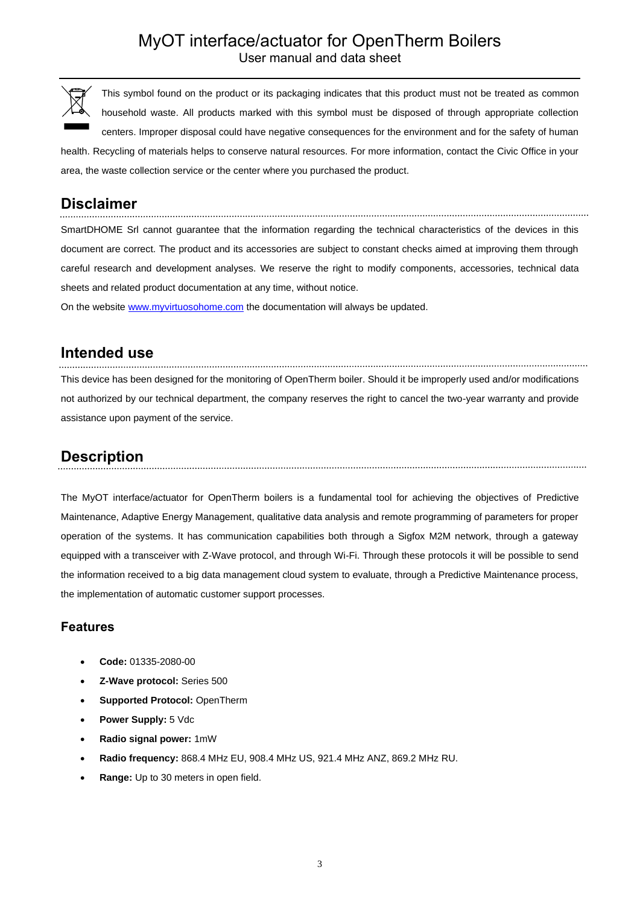

This symbol found on the product or its packaging indicates that this product must not be treated as common household waste. All products marked with this symbol must be disposed of through appropriate collection centers. Improper disposal could have negative consequences for the environment and for the safety of human health. Recycling of materials helps to conserve natural resources. For more information, contact the Civic Office in your

area, the waste collection service or the center where you purchased the product.

### **Disclaimer**

SmartDHOME Srl cannot guarantee that the information regarding the technical characteristics of the devices in this document are correct. The product and its accessories are subject to constant checks aimed at improving them through careful research and development analyses. We reserve the right to modify components, accessories, technical data sheets and related product documentation at any time, without notice.

On the website [www.myvirtuosohome.com](http://www.myvirtuosohome.com/) the documentation will always be updated.

### **Intended use**

This device has been designed for the monitoring of OpenTherm boiler. Should it be improperly used and/or modifications not authorized by our technical department, the company reserves the right to cancel the two-year warranty and provide assistance upon payment of the service.

### **Description**

The MyOT interface/actuator for OpenTherm boilers is a fundamental tool for achieving the objectives of Predictive Maintenance, Adaptive Energy Management, qualitative data analysis and remote programming of parameters for proper operation of the systems. It has communication capabilities both through a Sigfox M2M network, through a gateway equipped with a transceiver with Z-Wave protocol, and through Wi-Fi. Through these protocols it will be possible to send the information received to a big data management cloud system to evaluate, through a Predictive Maintenance process, the implementation of automatic customer support processes.

### **Features**

- **Code:** 01335-2080-00
- **Z-Wave protocol:** Series 500
- **Supported Protocol:** OpenTherm
- **Power Supply:** 5 Vdc
- **Radio signal power:** 1mW
- **Radio frequency:** 868.4 MHz EU, 908.4 MHz US, 921.4 MHz ANZ, 869.2 MHz RU.
- **Range:** Up to 30 meters in open field.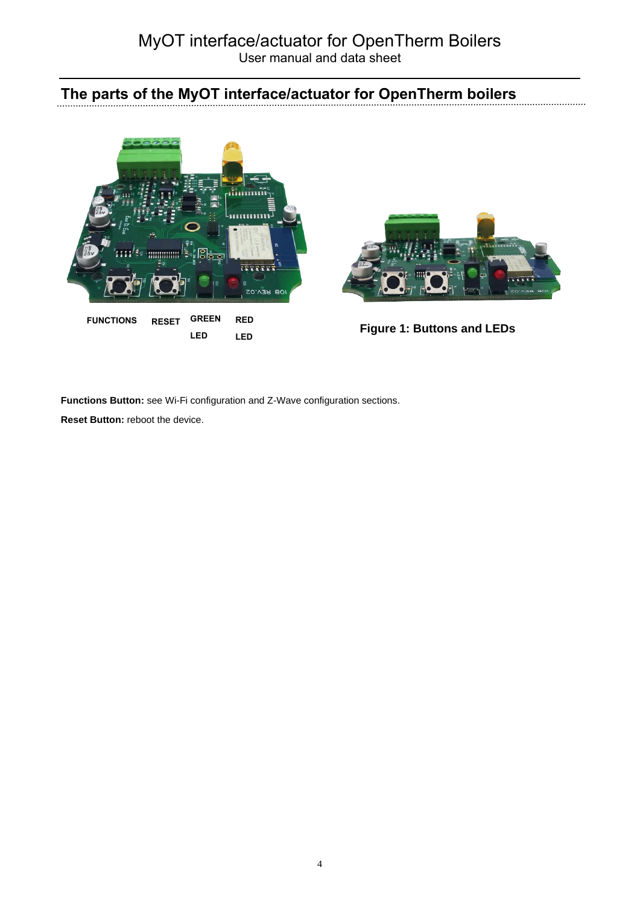# **The parts of the MyOT interface/actuator for OpenTherm boilers**



**Functions Button:** see Wi-Fi configuration and Z-Wave configuration sections.

**Reset Button:** reboot the device.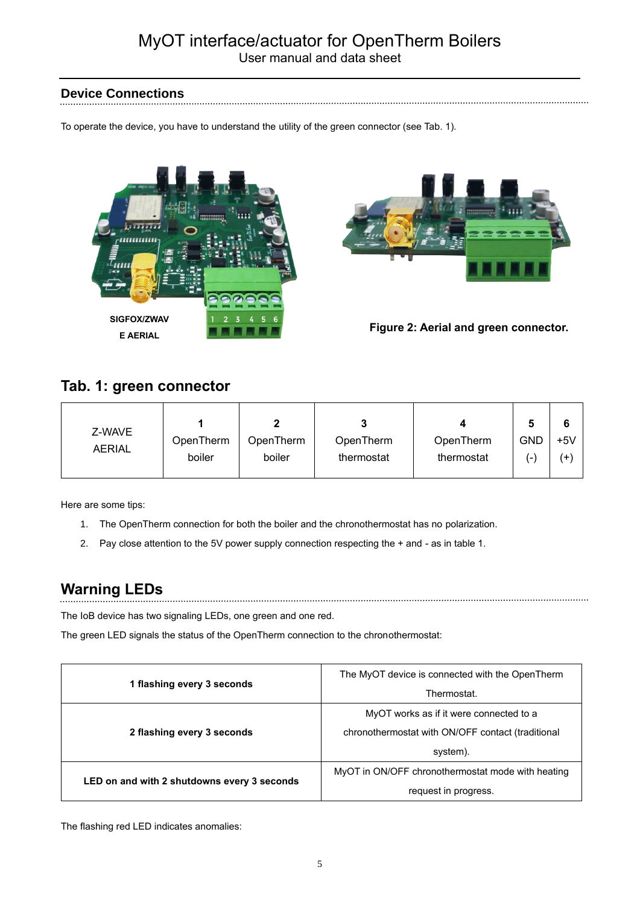### **Device Connections**

To operate the device, you have to understand the utility of the green connector (see Tab. 1).





 **Figure 2: Aerial and green connector.**

### **Tab. 1: green connector**

| Z-WAVE<br><b>AERIAL</b> |           |           |            |            |            |       |
|-------------------------|-----------|-----------|------------|------------|------------|-------|
|                         | OpenTherm | OpenTherm | OpenTherm  | OpenTherm  | <b>GND</b> | $+5V$ |
|                         | boiler    | boiler    | thermostat | thermostat | (−`        | (+    |

Here are some tips:

- 1. The OpenTherm connection for both the boiler and the chronothermostat has no polarization.
- 2. Pay close attention to the 5V power supply connection respecting the + and as in table 1.

## **Warning LEDs**

The IoB device has two signaling LEDs, one green and one red.

The green LED signals the status of the OpenTherm connection to the chronothermostat:

|                                             | The MyOT device is connected with the OpenTherm   |  |  |
|---------------------------------------------|---------------------------------------------------|--|--|
| 1 flashing every 3 seconds                  | Thermostat.                                       |  |  |
|                                             | MyOT works as if it were connected to a           |  |  |
| 2 flashing every 3 seconds                  | chronothermostat with ON/OFF contact (traditional |  |  |
|                                             | system).                                          |  |  |
|                                             | MyOT in ON/OFF chronothermostat mode with heating |  |  |
| LED on and with 2 shutdowns every 3 seconds | request in progress.                              |  |  |

The flashing red LED indicates anomalies: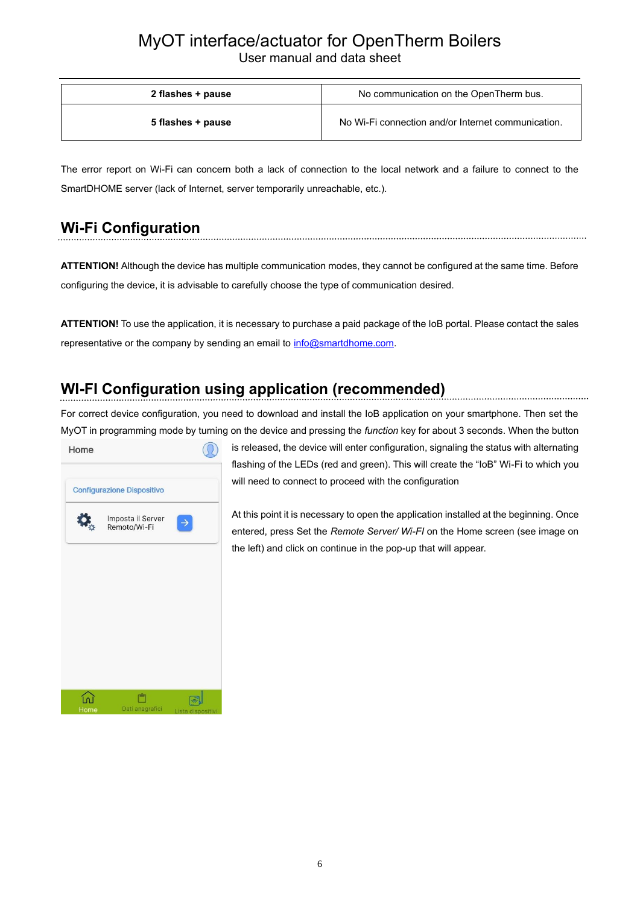| 2 flashes + pause | No communication on the OpenTherm bus.             |
|-------------------|----------------------------------------------------|
| 5 flashes + pause | No Wi-Fi connection and/or Internet communication. |

The error report on Wi-Fi can concern both a lack of connection to the local network and a failure to connect to the SmartDHOME server (lack of Internet, server temporarily unreachable, etc.).

# **Wi-Fi Configuration**

**ATTENTION!** Although the device has multiple communication modes, they cannot be configured at the same time. Before configuring the device, it is advisable to carefully choose the type of communication desired.

**ATTENTION!** To use the application, it is necessary to purchase a paid package of the IoB portal. Please contact the sales representative or the company by sending an email to [info@smartdhome.com.](mailto:info@smartdhome.com)

# **WI-FI Configuration using application (recommended)**

For correct device configuration, you need to download and install the IoB application on your smartphone. Then set the MyOT in programming mode by turning on the device and pressing the *function* key for about 3 seconds. When the button



is released, the device will enter configuration, signaling the status with alternating flashing of the LEDs (red and green). This will create the "IoB" Wi-Fi to which you will need to connect to proceed with the configuration

At this point it is necessary to open the application installed at the beginning. Once entered, press Set the *Remote Server/ Wi-FI* on the Home screen (see image on the left) and click on continue in the pop-up that will appear.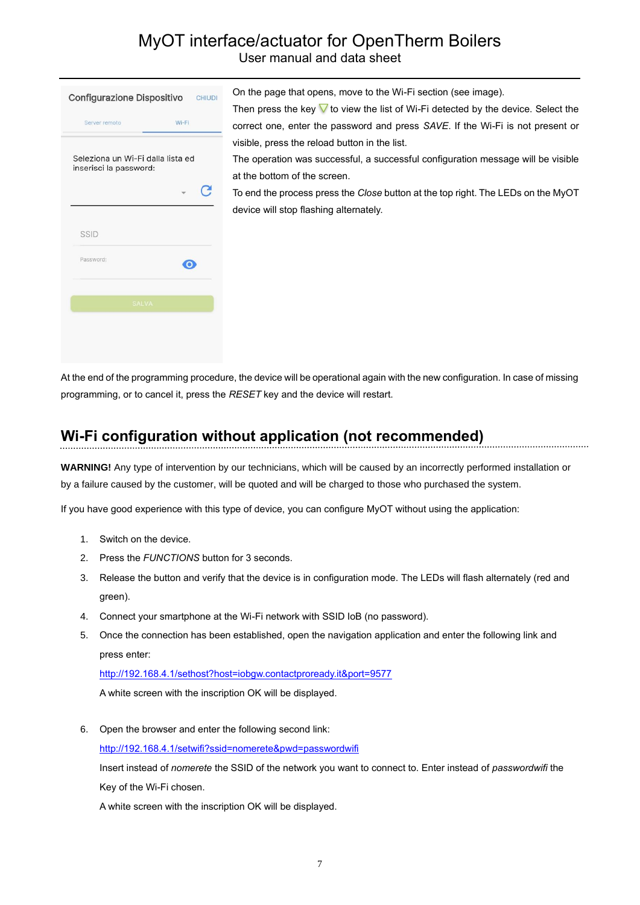| Configurazione Dispositivo                                  | <b>CHIUDI</b> |  |  |
|-------------------------------------------------------------|---------------|--|--|
| Server remoto                                               | Wi-Fi         |  |  |
| Seleziona un Wi-Fi dalla lista ed<br>inserisci la password: |               |  |  |
|                                                             |               |  |  |
| SSID                                                        |               |  |  |
| Password:                                                   |               |  |  |
| <b>SALVA</b>                                                |               |  |  |
|                                                             |               |  |  |
|                                                             |               |  |  |

On the page that opens, move to the Wi-Fi section (see image).

Then press the key  $\nabla$  to view the list of Wi-Fi detected by the device. Select the correct one, enter the password and press *SAVE*. If the Wi-Fi is not present or visible, press the reload button in the list.

The operation was successful, a successful configuration message will be visible at the bottom of the screen.

To end the process press the *Close* button at the top right. The LEDs on the MyOT device will stop flashing alternately.

At the end of the programming procedure, the device will be operational again with the new configuration. In case of missing programming, or to cancel it, press the *RESET* key and the device will restart.

# **Wi-Fi configuration without application (not recommended)**

**WARNING!** Any type of intervention by our technicians, which will be caused by an incorrectly performed installation or by a failure caused by the customer, will be quoted and will be charged to those who purchased the system.

If you have good experience with this type of device, you can configure MyOT without using the application:

- 1. Switch on the device.
- 2. Press the *FUNCTIONS* button for 3 seconds.
- 3. Release the button and verify that the device is in configuration mode. The LEDs will flash alternately (red and green).
- 4. Connect your smartphone at the Wi-Fi network with SSID IoB (no password).
- 5. Once the connection has been established, open the navigation application and enter the following link and press enter:

<http://192.168.4.1/sethost?host=iobgw.contactproready.it&port=9577>

A white screen with the inscription OK will be displayed.

6. Open the browser and enter the following second link:

<http://192.168.4.1/setwifi?ssid=nomerete&pwd=passwordwifi> Insert instead of *nomerete* the SSID of the network you want to connect to. Enter instead of *passwordwifi* the

Key of the Wi-Fi chosen.

A white screen with the inscription OK will be displayed.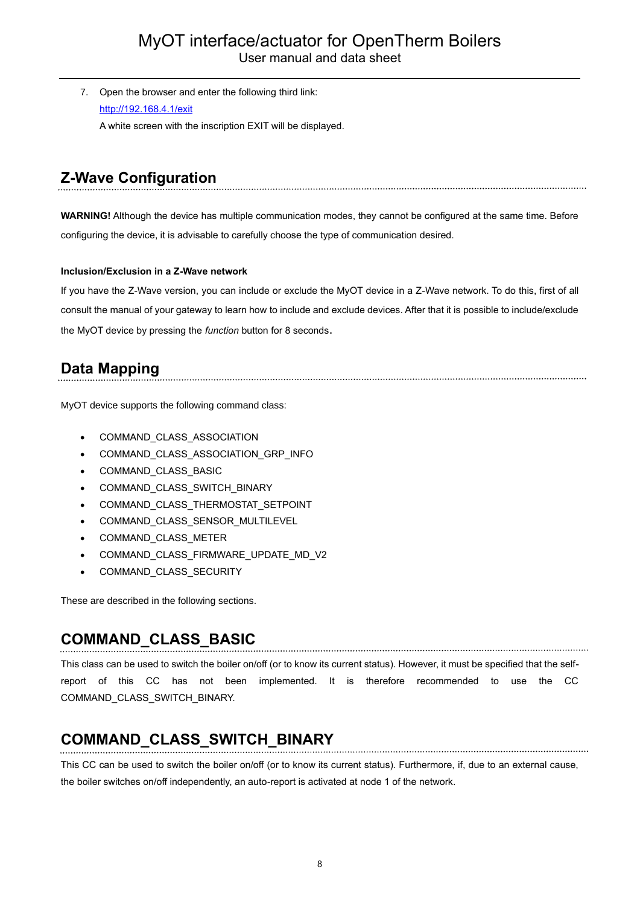7. Open the browser and enter the following third link: <http://192.168.4.1/exit> A white screen with the inscription EXIT will be displayed.

# **Z-Wave Configuration**

**WARNING!** Although the device has multiple communication modes, they cannot be configured at the same time. Before configuring the device, it is advisable to carefully choose the type of communication desired.

#### **Inclusion/Exclusion in a Z-Wave network**

If you have the Z-Wave version, you can include or exclude the MyOT device in a Z-Wave network. To do this, first of all consult the manual of your gateway to learn how to include and exclude devices. After that it is possible to include/exclude the MyOT device by pressing the *function* button for 8 seconds.

## **Data Mapping**

MyOT device supports the following command class:

- COMMAND\_CLASS\_ASSOCIATION
- COMMAND\_CLASS\_ASSOCIATION\_GRP\_INFO
- COMMAND\_CLASS\_BASIC
- COMMAND\_CLASS\_SWITCH\_BINARY
- COMMAND\_CLASS\_THERMOSTAT\_SETPOINT
- COMMAND\_CLASS\_SENSOR\_MULTILEVEL
- COMMAND\_CLASS\_METER
- COMMAND\_CLASS\_FIRMWARE\_UPDATE\_MD\_V2
- COMMAND\_CLASS\_SECURITY

These are described in the following sections.

# **COMMAND\_CLASS\_BASIC**

This class can be used to switch the boiler on/off (or to know its current status). However, it must be specified that the selfreport of this CC has not been implemented. It is therefore recommended to use the CC COMMAND\_CLASS\_SWITCH\_BINARY.

# **COMMAND\_CLASS\_SWITCH\_BINARY**

This CC can be used to switch the boiler on/off (or to know its current status). Furthermore, if, due to an external cause, the boiler switches on/off independently, an auto-report is activated at node 1 of the network.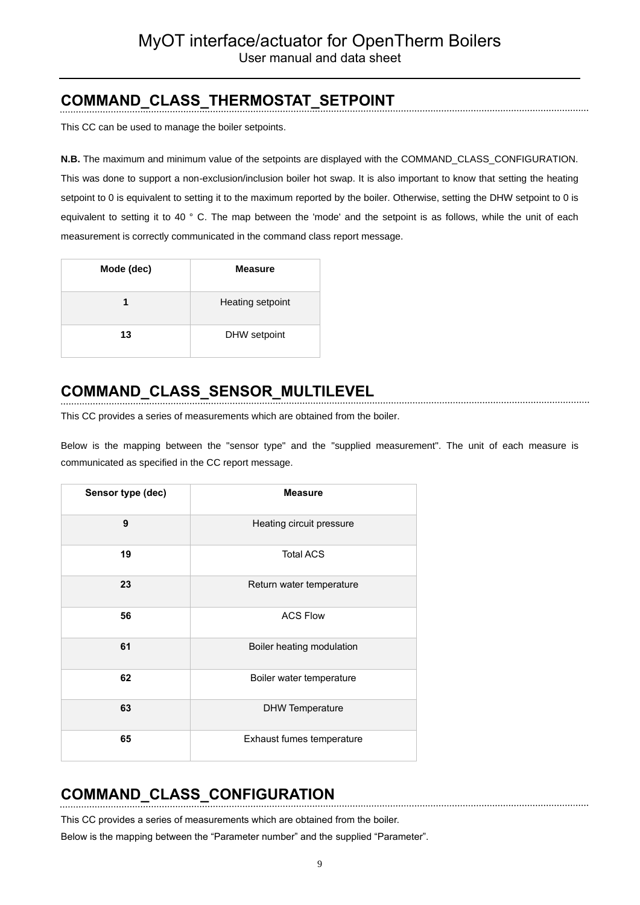# **COMMAND\_CLASS\_THERMOSTAT\_SETPOINT**

This CC can be used to manage the boiler setpoints.

**N.B.** The maximum and minimum value of the setpoints are displayed with the COMMAND\_CLASS\_CONFIGURATION. This was done to support a non-exclusion/inclusion boiler hot swap. It is also important to know that setting the heating setpoint to 0 is equivalent to setting it to the maximum reported by the boiler. Otherwise, setting the DHW setpoint to 0 is equivalent to setting it to 40 ° C. The map between the 'mode' and the setpoint is as follows, while the unit of each measurement is correctly communicated in the command class report message.

| Mode (dec) | <b>Measure</b>   |
|------------|------------------|
|            | Heating setpoint |
| 13         | DHW setpoint     |

# **COMMAND\_CLASS\_SENSOR\_MULTILEVEL**

This CC provides a series of measurements which are obtained from the boiler.

Below is the mapping between the "sensor type" and the "supplied measurement". The unit of each measure is communicated as specified in the CC report message.

| Sensor type (dec) | <b>Measure</b>            |  |
|-------------------|---------------------------|--|
| 9                 | Heating circuit pressure  |  |
| 19                | <b>Total ACS</b>          |  |
| 23                | Return water temperature  |  |
| 56                | <b>ACS Flow</b>           |  |
| 61                | Boiler heating modulation |  |
| 62                | Boiler water temperature  |  |
| 63                | <b>DHW Temperature</b>    |  |
| 65                | Exhaust fumes temperature |  |

# **COMMAND\_CLASS\_CONFIGURATION**

This CC provides a series of measurements which are obtained from the boiler. Below is the mapping between the "Parameter number" and the supplied "Parameter".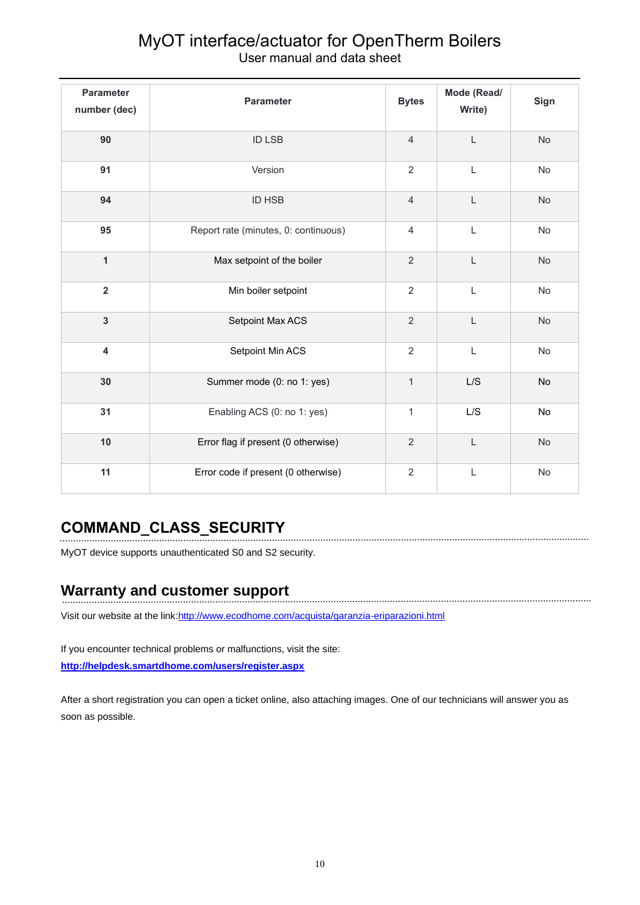| <b>Parameter</b><br>number (dec) | <b>Parameter</b>                     | <b>Bytes</b>   | Mode (Read/<br>Write)                                                                                     | Sign      |
|----------------------------------|--------------------------------------|----------------|-----------------------------------------------------------------------------------------------------------|-----------|
| 90                               | <b>ID LSB</b>                        | $\overline{4}$ | $\mathsf{L}$                                                                                              | No        |
| 91                               | Version                              | $\overline{2}$ | $\mathsf L$                                                                                               | No        |
| 94                               | <b>ID HSB</b>                        | $\overline{4}$ | $\mathsf{L}% _{0}\left( \mathsf{L}_{0}\right) ^{\ast}=\mathsf{L}_{0}\left( \mathsf{L}_{0}\right) ^{\ast}$ | <b>No</b> |
| 95                               | Report rate (minutes, 0: continuous) | $\overline{4}$ | $\mathsf L$                                                                                               | No        |
| $\overline{1}$                   | Max setpoint of the boiler           | $\overline{2}$ | $\mathsf L$                                                                                               | <b>No</b> |
| $\overline{2}$                   | Min boiler setpoint                  | $\overline{2}$ | $\mathsf L$                                                                                               | No        |
| $\overline{3}$                   | Setpoint Max ACS                     | $\overline{2}$ | $\mathsf{L}% _{0}\left( \mathsf{L}_{0}\right) ^{\ast}=\mathsf{L}_{0}\left( \mathsf{L}_{0}\right) ^{\ast}$ | No        |
| $\overline{\mathbf{4}}$          | Setpoint Min ACS                     | $\overline{2}$ | $\mathsf L$                                                                                               | No        |
| 30                               | Summer mode (0: no 1: yes)           | $\mathbf{1}$   | L/S                                                                                                       | No        |
| 31                               | Enabling ACS (0: no 1: yes)          | $\mathbf{1}$   | L/S                                                                                                       | No        |
| 10                               | Error flag if present (0 otherwise)  | $\overline{2}$ | $\mathsf L$                                                                                               | No        |
| 11                               | Error code if present (0 otherwise)  | $\overline{2}$ | $\overline{L}$                                                                                            | No        |

# **COMMAND\_CLASS\_SECURITY**

MyOT device supports unauthenticated S0 and S2 security.

### **Warranty and customer support**

Visit our website at the link: http://www.ecodhome.com/acquista/garanzia-eriparazioni.html

If you encounter technical problems or malfunctions, visit the site:

**<http://helpdesk.smartdhome.com/users/register.aspx>**

After a short registration you can open a ticket online, also attaching images. One of our technicians will answer you as soon as possible.